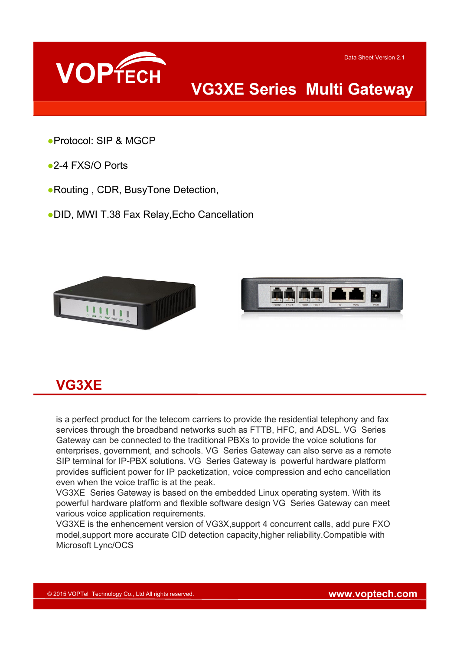

## **VG3XE Series Multi Gateway**

- ●Protocol: SIP & MGCP
- ●2-4 FXS/O Ports
- ●Routing , CDR, BusyTone Detection,
- ●DID, MWI T.38 Fax Relay,Echo Cancellation



#### **VG3XE**

is a perfect product for the telecom carriers to provide the residential telephony and fax services through the broadband networks such as FTTB, HFC, and ADSL. VG Series Gateway can be connected to the traditional PBXs to provide the voice solutions for enterprises, government, and schools. VG Series Gateway can also serve as a remote SIP terminal for IP-PBX solutions. VG Series Gateway is powerful hardware platform provides sufficient power for IP packetization, voice compression and echo cancellation even when the voice traffic is at the peak.

VG3XE Series Gateway is based on the embedded Linux operating system. With its powerful hardware platform and flexible software design VG Series Gateway can meet various voice application requirements.

VG3XE is the enhencement version of VG3X,support 4 concurrent calls, add pure FXO model,support more accurate CID detection capacity,higher reliability.Compatible with Microsoft Lync/OCS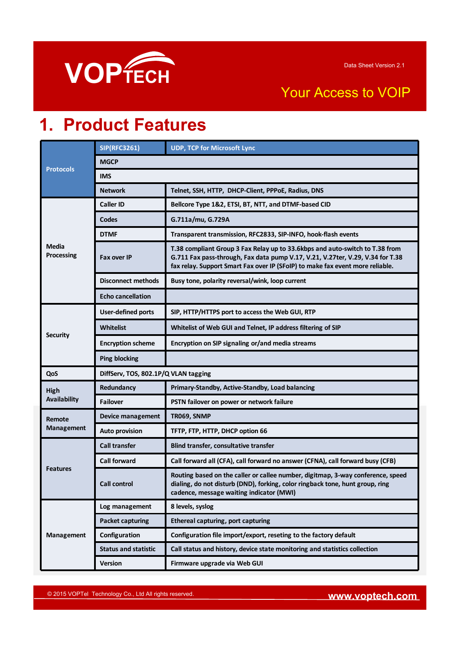

### Your Access to VOIP

## **1. Product Features**

| <b>Protocols</b>            | <b>SIP(RFC3261)</b>         | <b>UDP, TCP for Microsoft Lync</b>                                                                                                                                                                                                              |  |
|-----------------------------|-----------------------------|-------------------------------------------------------------------------------------------------------------------------------------------------------------------------------------------------------------------------------------------------|--|
|                             | <b>MGCP</b>                 |                                                                                                                                                                                                                                                 |  |
|                             | <b>IMS</b>                  |                                                                                                                                                                                                                                                 |  |
|                             | <b>Network</b>              | Telnet, SSH, HTTP, DHCP-Client, PPPoE, Radius, DNS                                                                                                                                                                                              |  |
| <b>Media</b><br>Processing  | <b>Caller ID</b>            | Bellcore Type 1&2, ETSI, BT, NTT, and DTMF-based CID                                                                                                                                                                                            |  |
|                             | Codes                       | G.711a/mu, G.729A                                                                                                                                                                                                                               |  |
|                             | <b>DTMF</b>                 | Transparent transmission, RFC2833, SIP-INFO, hook-flash events                                                                                                                                                                                  |  |
|                             | <b>Fax over IP</b>          | T.38 compliant Group 3 Fax Relay up to 33.6kbps and auto-switch to T.38 from<br>G.711 Fax pass-through, Fax data pump V.17, V.21, V.27ter, V.29, V.34 for T.38<br>fax relay. Support Smart Fax over IP (SFoIP) to make fax event more reliable. |  |
|                             | <b>Disconnect methods</b>   | Busy tone, polarity reversal/wink, loop current                                                                                                                                                                                                 |  |
|                             | <b>Echo cancellation</b>    |                                                                                                                                                                                                                                                 |  |
| <b>Security</b>             | <b>User-defined ports</b>   | SIP, HTTP/HTTPS port to access the Web GUI, RTP                                                                                                                                                                                                 |  |
|                             | <b>Whitelist</b>            | Whitelist of Web GUI and Telnet, IP address filtering of SIP                                                                                                                                                                                    |  |
|                             | <b>Encryption scheme</b>    | Encryption on SIP signaling or/and media streams                                                                                                                                                                                                |  |
|                             | <b>Ping blocking</b>        |                                                                                                                                                                                                                                                 |  |
| QoS                         |                             | DiffServ, TOS, 802.1P/Q VLAN tagging                                                                                                                                                                                                            |  |
| High                        | Redundancy                  | Primary-Standby, Active-Standby, Load balancing                                                                                                                                                                                                 |  |
| <b>Availability</b>         | <b>Failover</b>             | PSTN failover on power or network failure                                                                                                                                                                                                       |  |
| Remote<br><b>Management</b> | Device management           | TR069, SNMP                                                                                                                                                                                                                                     |  |
|                             | <b>Auto provision</b>       | TFTP, FTP, HTTP, DHCP option 66                                                                                                                                                                                                                 |  |
| <b>Features</b>             | <b>Call transfer</b>        | Blind transfer, consultative transfer                                                                                                                                                                                                           |  |
|                             | <b>Call forward</b>         | Call forward all (CFA), call forward no answer (CFNA), call forward busy (CFB)                                                                                                                                                                  |  |
|                             | <b>Call control</b>         | Routing based on the caller or callee number, digitmap, 3-way conference, speed<br>dialing, do not disturb (DND), forking, color ringback tone, hunt group, ring<br>cadence, message waiting indicator (MWI)                                    |  |
| Management                  | Log management              | 8 levels, syslog                                                                                                                                                                                                                                |  |
|                             | <b>Packet capturing</b>     | <b>Ethereal capturing, port capturing</b>                                                                                                                                                                                                       |  |
|                             | Configuration               | Configuration file import/export, reseting to the factory default                                                                                                                                                                               |  |
|                             | <b>Status and statistic</b> | Call status and history, device state monitoring and statistics collection                                                                                                                                                                      |  |
|                             | Version                     | Firmware upgrade via Web GUI                                                                                                                                                                                                                    |  |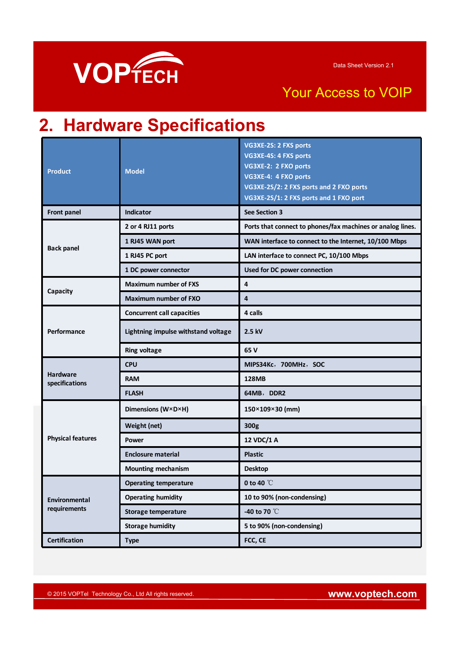

### Your Access to VOIP

# **2. Hardware Specifications**

| <b>Product</b>                    | <b>Model</b>                        | VG3XE-2S: 2 FXS ports<br>VG3XE-4S: 4 FXS ports<br>VG3XE-2: 2 FXO ports<br>VG3XE-4: 4 FXO ports<br>VG3XE-2S/2: 2 FXS ports and 2 FXO ports<br>VG3XE-2S/1: 2 FXS ports and 1 FXO port |
|-----------------------------------|-------------------------------------|-------------------------------------------------------------------------------------------------------------------------------------------------------------------------------------|
| <b>Front panel</b>                | <b>Indicator</b>                    | See Section 3                                                                                                                                                                       |
|                                   | 2 or 4 RJ11 ports                   | Ports that connect to phones/fax machines or analog lines.                                                                                                                          |
|                                   | 1 RJ45 WAN port                     | WAN interface to connect to the Internet, 10/100 Mbps                                                                                                                               |
| <b>Back panel</b>                 | 1 RJ45 PC port                      | LAN interface to connect PC, 10/100 Mbps                                                                                                                                            |
|                                   | 1 DC power connector                | Used for DC power connection                                                                                                                                                        |
|                                   | <b>Maximum number of FXS</b>        | 4                                                                                                                                                                                   |
| Capacity                          | <b>Maximum number of FXO</b>        | $\overline{\mathbf{4}}$                                                                                                                                                             |
|                                   | <b>Concurrent call capacities</b>   | 4 calls                                                                                                                                                                             |
| Performance                       | Lightning impulse withstand voltage | 2.5 kV                                                                                                                                                                              |
|                                   | <b>Ring voltage</b>                 | 65 V                                                                                                                                                                                |
|                                   | <b>CPU</b>                          | MIPS34Kc, 700MHz, SOC                                                                                                                                                               |
| <b>Hardware</b><br>specifications | <b>RAM</b>                          | 128MB                                                                                                                                                                               |
|                                   | <b>FLASH</b>                        | 64MB, DDR2                                                                                                                                                                          |
|                                   | Dimensions (W×D×H)                  | 150×109×30 (mm)                                                                                                                                                                     |
|                                   | Weight (net)                        | 300g                                                                                                                                                                                |
| <b>Physical features</b>          |                                     | 12 VDC/1 A                                                                                                                                                                          |
|                                   | <b>Power</b>                        |                                                                                                                                                                                     |
|                                   | <b>Enclosure material</b>           | <b>Plastic</b>                                                                                                                                                                      |
|                                   | <b>Mounting mechanism</b>           | <b>Desktop</b>                                                                                                                                                                      |
|                                   | <b>Operating temperature</b>        | 0 to 40 $\degree$ C                                                                                                                                                                 |
| Environmental                     | <b>Operating humidity</b>           | 10 to 90% (non-condensing)                                                                                                                                                          |
| requirements                      | Storage temperature                 | -40 to 70 °C                                                                                                                                                                        |
|                                   | <b>Storage humidity</b>             | 5 to 90% (non-condensing)                                                                                                                                                           |